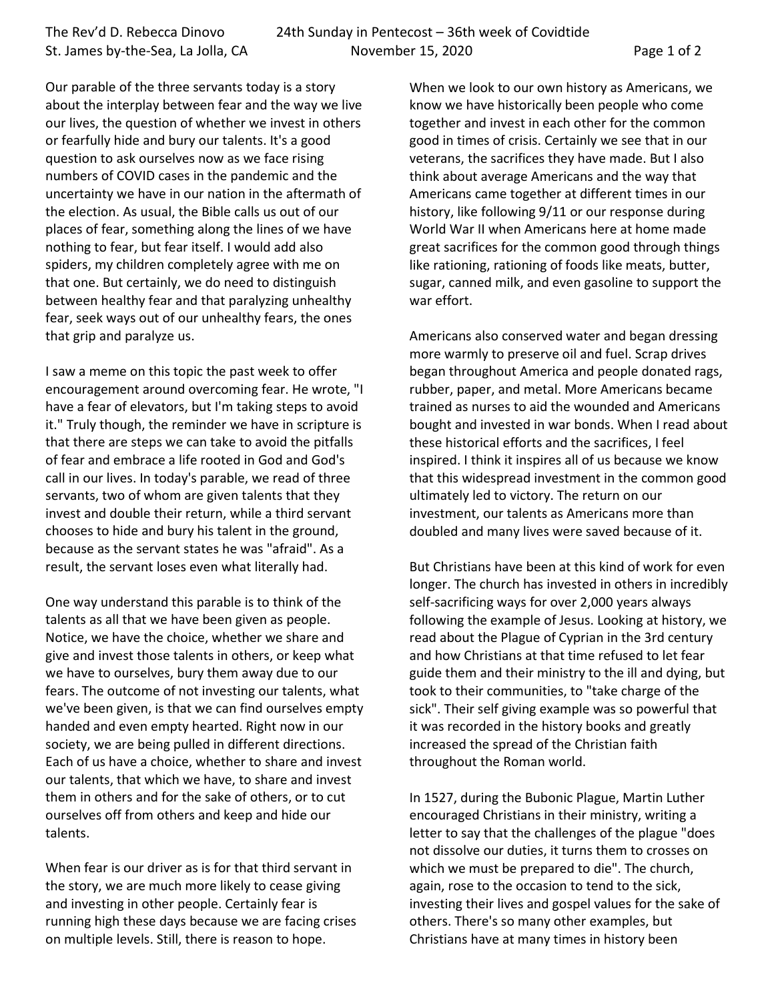Our parable of the three servants today is a story about the interplay between fear and the way we live our lives, the question of whether we invest in others or fearfully hide and bury our talents. It's a good question to ask ourselves now as we face rising numbers of COVID cases in the pandemic and the uncertainty we have in our nation in the aftermath of the election. As usual, the Bible calls us out of our places of fear, something along the lines of we have nothing to fear, but fear itself. I would add also spiders, my children completely agree with me on that one. But certainly, we do need to distinguish between healthy fear and that paralyzing unhealthy fear, seek ways out of our unhealthy fears, the ones that grip and paralyze us.

I saw a meme on this topic the past week to offer encouragement around overcoming fear. He wrote, "I have a fear of elevators, but I'm taking steps to avoid it." Truly though, the reminder we have in scripture is that there are steps we can take to avoid the pitfalls of fear and embrace a life rooted in God and God's call in our lives. In today's parable, we read of three servants, two of whom are given talents that they invest and double their return, while a third servant chooses to hide and bury his talent in the ground, because as the servant states he was "afraid". As a result, the servant loses even what literally had.

One way understand this parable is to think of the talents as all that we have been given as people. Notice, we have the choice, whether we share and give and invest those talents in others, or keep what we have to ourselves, bury them away due to our fears. The outcome of not investing our talents, what we've been given, is that we can find ourselves empty handed and even empty hearted. Right now in our society, we are being pulled in different directions. Each of us have a choice, whether to share and invest our talents, that which we have, to share and invest them in others and for the sake of others, or to cut ourselves off from others and keep and hide our talents.

When fear is our driver as is for that third servant in the story, we are much more likely to cease giving and investing in other people. Certainly fear is running high these days because we are facing crises on multiple levels. Still, there is reason to hope.

When we look to our own history as Americans, we know we have historically been people who come together and invest in each other for the common good in times of crisis. Certainly we see that in our veterans, the sacrifices they have made. But I also think about average Americans and the way that Americans came together at different times in our history, like following 9/11 or our response during World War II when Americans here at home made great sacrifices for the common good through things like rationing, rationing of foods like meats, butter, sugar, canned milk, and even gasoline to support the war effort.

Americans also conserved water and began dressing more warmly to preserve oil and fuel. Scrap drives began throughout America and people donated rags, rubber, paper, and metal. More Americans became trained as nurses to aid the wounded and Americans bought and invested in war bonds. When I read about these historical efforts and the sacrifices, I feel inspired. I think it inspires all of us because we know that this widespread investment in the common good ultimately led to victory. The return on our investment, our talents as Americans more than doubled and many lives were saved because of it.

But Christians have been at this kind of work for even longer. The church has invested in others in incredibly self-sacrificing ways for over 2,000 years always following the example of Jesus. Looking at history, we read about the Plague of Cyprian in the 3rd century and how Christians at that time refused to let fear guide them and their ministry to the ill and dying, but took to their communities, to "take charge of the sick". Their self giving example was so powerful that it was recorded in the history books and greatly increased the spread of the Christian faith throughout the Roman world.

In 1527, during the Bubonic Plague, Martin Luther encouraged Christians in their ministry, writing a letter to say that the challenges of the plague "does not dissolve our duties, it turns them to crosses on which we must be prepared to die". The church, again, rose to the occasion to tend to the sick, investing their lives and gospel values for the sake of others. There's so many other examples, but Christians have at many times in history been